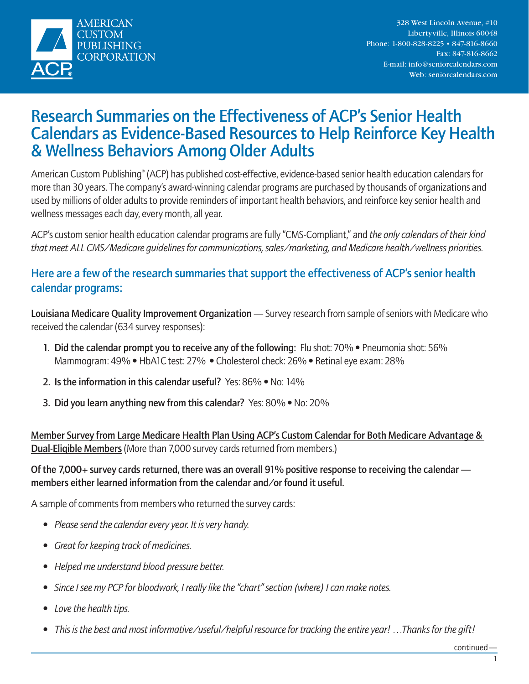

# Research Summaries on the Effectiveness of ACP's Senior Health Calendars as Evidence-Based Resources to Help Reinforce Key Health & Wellness Behaviors Among Older Adults

American Custom Publishing® (ACP) has published cost-effective, evidence-based senior health education calendars for more than 30 years. The company's award-winning calendar programs are purchased by thousands of organizations and used by millions of older adults to provide reminders of important health behaviors, and reinforce key senior health and wellness messages each day, every month, all year.

ACP's custom senior health education calendar programs are fully "CMS-Compliant," and *the only calendars of their kind that meet ALL CMS/Medicare guidelines for communications, sales/marketing, and Medicare health/wellness priorities.*

# Here are a few of the research summaries that support the effectiveness of ACP's senior health calendar programs:

Louisiana Medicare Quality Improvement Organization — Survey research from sample of seniors with Medicare who received the calendar (634 survey responses):

- 1. Did the calendar prompt you to receive any of the following: Flu shot: 70% Pneumonia shot: 56% Mammogram: 49% • HbA1C test: 27% • Cholesterol check: 26% • Retinal eye exam: 28%
- 2. Is the information in this calendar useful? Yes: 86% No: 14%
- 3. Did you learn anything new from this calendar? Yes: 80% No: 20%

Member Survey from Large Medicare Health Plan Using ACP's Custom Calendar for Both Medicare Advantage & Dual-Eligible Members (More than 7,000 survey cards returned from members.)

# Of the 7,000+ survey cards returned, there was an overall 91% positive response to receiving the calendar members either learned information from the calendar and/or found it useful.

A sample of comments from members who returned the survey cards:

- *• Please send the calendar every year. It is very handy.*
- *• Great for keeping track of medicines.*
- *• Helped me understand blood pressure better.*
- *• Since I see my PCP for bloodwork, I really like the "chart" section (where) I can make notes.*
- *• Love the health tips.*
- *• This is the best and most informative/useful/helpful resource for tracking the entire year! …Thanks for the gift!*

continued—